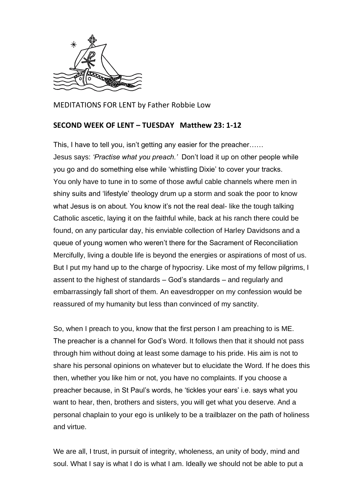

MEDITATIONS FOR LENT by Father Robbie Low

## **SECOND WEEK OF LENT – TUESDAY Matthew 23: 1-12**

This, I have to tell you, isn't getting any easier for the preacher…… Jesus says: *'Practise what you preach.'* Don't load it up on other people while you go and do something else while 'whistling Dixie' to cover your tracks. You only have to tune in to some of those awful cable channels where men in shiny suits and 'lifestyle' theology drum up a storm and soak the poor to know what Jesus is on about. You know it's not the real deal- like the tough talking Catholic ascetic, laying it on the faithful while, back at his ranch there could be found, on any particular day, his enviable collection of Harley Davidsons and a queue of young women who weren't there for the Sacrament of Reconciliation Mercifully, living a double life is beyond the energies or aspirations of most of us. But I put my hand up to the charge of hypocrisy. Like most of my fellow pilgrims, I assent to the highest of standards – God's standards – and regularly and embarrassingly fall short of them. An eavesdropper on my confession would be reassured of my humanity but less than convinced of my sanctity.

So, when I preach to you, know that the first person I am preaching to is ME. The preacher is a channel for God's Word. It follows then that it should not pass through him without doing at least some damage to his pride. His aim is not to share his personal opinions on whatever but to elucidate the Word. If he does this then, whether you like him or not, you have no complaints. If you choose a preacher because, in St Paul's words, he 'tickles your ears' i.e. says what you want to hear, then, brothers and sisters, you will get what you deserve. And a personal chaplain to your ego is unlikely to be a trailblazer on the path of holiness and virtue.

We are all, I trust, in pursuit of integrity, wholeness, an unity of body, mind and soul. What I say is what I do is what I am. Ideally we should not be able to put a